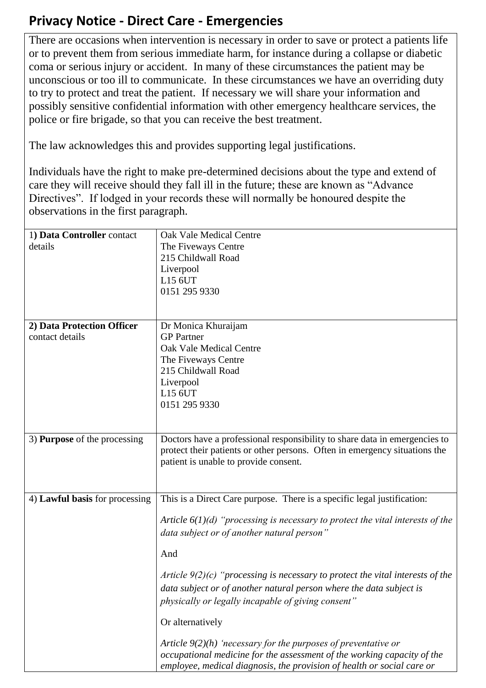## **Privacy Notice - Direct Care - Emergencies**

There are occasions when intervention is necessary in order to save or protect a patients life or to prevent them from serious immediate harm, for instance during a collapse or diabetic coma or serious injury or accident. In many of these circumstances the patient may be unconscious or too ill to communicate. In these circumstances we have an overriding duty to try to protect and treat the patient. If necessary we will share your information and possibly sensitive confidential information with other emergency healthcare services, the police or fire brigade, so that you can receive the best treatment.

The law acknowledges this and provides supporting legal justifications.

Individuals have the right to make pre-determined decisions about the type and extend of care they will receive should they fall ill in the future; these are known as "Advance Directives". If lodged in your records these will normally be honoured despite the observations in the first paragraph.

| 1) Data Controller contact          | Oak Vale Medical Centre                                                          |
|-------------------------------------|----------------------------------------------------------------------------------|
| details                             | The Fiveways Centre                                                              |
|                                     | 215 Childwall Road                                                               |
|                                     | Liverpool                                                                        |
|                                     | L15 6UT                                                                          |
|                                     | 0151 295 9330                                                                    |
|                                     |                                                                                  |
|                                     |                                                                                  |
| 2) Data Protection Officer          | Dr Monica Khuraijam                                                              |
| contact details                     | <b>GP</b> Partner                                                                |
|                                     | <b>Oak Vale Medical Centre</b>                                                   |
|                                     | The Fiveways Centre                                                              |
|                                     | 215 Childwall Road                                                               |
|                                     |                                                                                  |
|                                     | Liverpool                                                                        |
|                                     | L15 6UT                                                                          |
|                                     | 0151 295 9330                                                                    |
|                                     |                                                                                  |
|                                     |                                                                                  |
| 3) <b>Purpose</b> of the processing | Doctors have a professional responsibility to share data in emergencies to       |
|                                     | protect their patients or other persons. Often in emergency situations the       |
|                                     | patient is unable to provide consent.                                            |
|                                     |                                                                                  |
|                                     |                                                                                  |
| 4) Lawful basis for processing      | This is a Direct Care purpose. There is a specific legal justification:          |
|                                     |                                                                                  |
|                                     | Article $6(1)(d)$ "processing is necessary to protect the vital interests of the |
|                                     | data subject or of another natural person"                                       |
|                                     |                                                                                  |
|                                     | And                                                                              |
|                                     |                                                                                  |
|                                     | Article $9(2)(c)$ "processing is necessary to protect the vital interests of the |
|                                     | data subject or of another natural person where the data subject is              |
|                                     | physically or legally incapable of giving consent"                               |
|                                     | Or alternatively                                                                 |
|                                     |                                                                                  |
|                                     | Article $9(2)(h)$ 'necessary for the purposes of preventative or                 |
|                                     | occupational medicine for the assessment of the working capacity of the          |
|                                     | employee, medical diagnosis, the provision of health or social care or           |